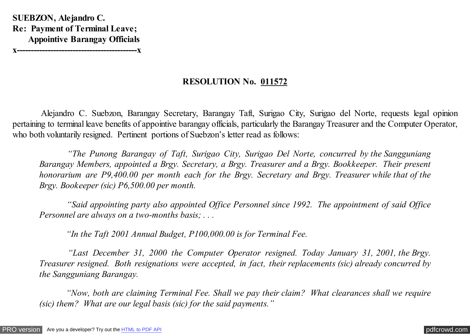**SUEBZON, Alejandro C. Re: Payment of Terminal Leave; Appointive Barangay Officials x-------------------------------------------x**

**RESOLUTION No. 011572**

 Alejandro C. Suebzon, Barangay Secretary, Barangay Taft, Surigao City, Surigao del Norte, requests legal opinion pertaining to terminal leave benefits of appointive barangay officials, particularly the Barangay Treasurer and the Computer Operator, who both voluntarily resigned. Pertinent portions of Suebzon's letter read as follows:

 *"The Punong Barangay of Taft, Surigao City, Surigao Del Norte, concurred by the Sangguniang Barangay Members, appointed a Brgy. Secretary, a Brgy. Treasurer and a Brgy. Bookkeeper. Their present honorarium are P9,400.00 per month each for the Brgy. Secretary and Brgy. Treasurer while that of the Brgy. Bookeeper (sic) P6,500.00 per month.*

 *"Said appointing party also appointed Office Personnel since 1992. The appointment of said Office Personnel are always on a two-months basis; . . .*

 *"In the Taft 2001 Annual Budget, P100,000.00 is for Terminal Fee.*

 *"Last December 31, 2000 the Computer Operator resigned. Today January 31, 2001, the Brgy. Treasurer resigned. Both resignations were accepted, in fact, their replacements (sic) already concurred by the Sangguniang Barangay.*

 *"Now, both are claiming Terminal Fee. Shall we pay their claim? What clearances shall we require (sic) them? What are our legal basis (sic) for the said payments."*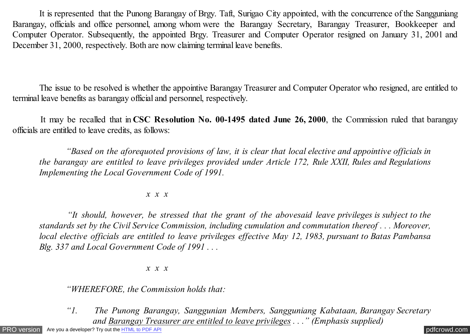It is represented that the Punong Barangay of Brgy. Taft, Surigao City appointed, with the concurrence of the Sangguniang Barangay, officials and office personnel, among whom were the Barangay Secretary, Barangay Treasurer, Bookkeeper and Computer Operator. Subsequently, the appointed Brgy. Treasurer and Computer Operator resigned on January 31, 2001 and December 31, 2000, respectively. Both are now claiming terminal leave benefits.

 The issue to be resolved is whether the appointive Barangay Treasurer and Computer Operator who resigned, are entitled to terminal leave benefits as barangay official and personnel, respectively.

 It may be recalled that in **CSC Resolution No. 00-1495 dated June 26, 2000**, the Commission ruled that barangay officials are entitled to leave credits, as follows:

 *"Based on the aforequoted provisions of law, it is clear that local elective and appointive officials in the barangay are entitled to leave privileges provided under Article 172, Rule XXII, Rules and Regulations Implementing the Local Government Code of 1991.*

## *x x x*

 *"It should, however, be stressed that the grant of the abovesaid leave privileges is subject to the standards set by the Civil Service Commission, including cumulation and commutation thereof . . . Moreover, local elective officials are entitled to leave privileges effective May 12, 1983, pursuant to Batas Pambansa Blg. 337 and Local Government Code of 1991 . . .*

## *x x x*

 *"WHEREFORE, the Commission holds that:*

*"1. The Punong Barangay, Sanggunian Members, Sangguniang Kabataan, Barangay Secretary and Barangay Treasurer are entitled to leave privileges . . ." (Emphasis supplied)*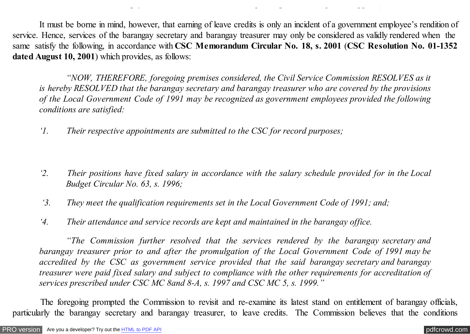It must be borne in mind, however, that earning of leave credits is only an incident of a government employee's rendition of service. Hence, services of the barangay secretary and barangay treasurer may only be considered as validly rendered when the same satisfy the following, in accordance with **CSC Memorandum Circular No. 18, s. 2001** (**CSC Resolution No. 01-1352 dated August 10, 2001**) which provides, as follows:

*and Barangay Treasurer are entitled to leave privileges . . ." (Emphasis supplied)*

*"NOW, THEREFORE, foregoing premises considered, the Civil Service Commission RESOLVES as it is hereby RESOLVED that the barangay secretary and barangay treasurer who are covered by the provisions of the Local Government Code of 1991 may be recognized as government employees provided the following conditions are satisfied:*

*'1. Their respective appointments are submitted to the CSC for record purposes;*

- *'2. Their positions have fixed salary in accordance with the salary schedule provided for in the Local Budget Circular No. 63, s. 1996;*
- *'3. They meet the qualification requirements set in the Local Government Code of 1991; and;*
- *'4. Their attendance and service records are kept and maintained in the barangay office.*

*"The Commission further resolved that the services rendered by the barangay secretary and barangay treasurer prior to and after the promulgation of the Local Government Code of 1991 may be accredited by the CSC as government service provided that the said barangay secretary and barangay treasurer were paid fixed salary and subject to compliance with the other requirements for accreditation of services prescribed under CSC MC 8and 8-A, s. 1997 and CSC MC 5, s. 1999."*

 The foregoing prompted the Commission to revisit and re-examine its latest stand on entitlement of barangay officials, particularly the barangay secretary and barangay treasurer, to leave credits. The Commission believes that the conditions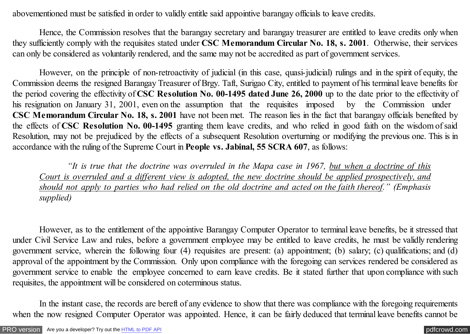abovementioned must be satisfied in order to validly entitle said appointive barangay officials to leave credits.

Hence, the Commission resolves that the barangay secretary and barangay treasurer are entitled to leave credits only when they sufficiently comply with the requisites stated under **CSC Memorandum Circular No. 18, s. 2001**. Otherwise, their services can only be considered as voluntarily rendered, and the same may not be accredited as part of government services.

However, on the principle of non-retroactivity of judicial (in this case, quasi-judicial) rulings and in the spirit of equity, the Commission deems the resigned Barangay Treasurer of Brgy. Taft, Surigao City, entitled to payment of his terminal leave benefits for the period covering the effectivity of **CSC Resolution No. 00-1495 dated June 26, 2000** up to the date prior to the effectivity of his resignation on January 31, 2001, even on the assumption that the requisites imposed by the Commission under **CSC Memorandum Circular No. 18, s. 2001** have not been met. The reason lies in the fact that barangay officials benefited by the effects of **CSC Resolution No. 00-1495** granting them leave credits, and who relied in good faith on the wisdom of said Resolution, may not be prejudiced by the effects of a subsequent Resolution overturning or modifying the previous one. This is in accordance with the ruling of the Supreme Court in **People vs. Jabinal, 55 SCRA 607**, as follows:

 *"It is true that the doctrine was overruled in the Mapa case in 1967, but when a doctrine of this Court is overruled and a different view is adopted, the new doctrine should be applied prospectively, and should not apply to parties who had relied on the old doctrine and acted on the faith thereof." (Emphasis supplied)*

However, as to the entitlement of the appointive Barangay Computer Operator to terminal leave benefits, be it stressed that under Civil Service Law and rules, before a government employee may be entitled to leave credits, he must be validly rendering government service, wherein the following four (4) requisites are present: (a) appointment; (b) salary; (c) qualifications; and (d) approval of the appointment by the Commission. Only upon compliance with the foregoing can services rendered be considered as government service to enable the employee concerned to earn leave credits. Be it stated further that upon compliance with such requisites, the appointment will be considered on coterminous status.

In the instant case, the records are bereft of any evidence to show that there was compliance with the foregoing requirements when the now resigned Computer Operator was appointed. Hence, it can be fairly deduced that terminal leave benefits cannot be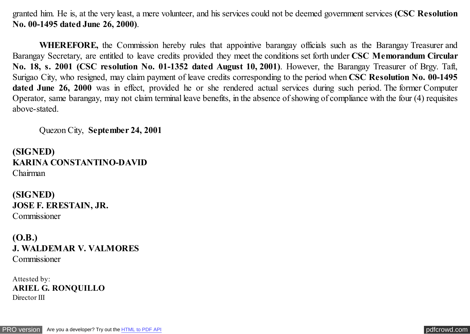granted him. He is, at the very least, a mere volunteer, and his services could not be deemed government services **(CSC Resolution No. 00-1495 dated June 26, 2000)**.

**WHEREFORE,** the Commission hereby rules that appointive barangay officials such as the Barangay Treasurer and Barangay Secretary, are entitled to leave credits provided they meet the conditions set forth under **CSC Memorandum Circular No. 18, s. 2001 (CSC resolution No. 01-1352 dated August 10, 2001)**. However, the Barangay Treasurer of Brgy. Taft, Surigao City, who resigned, may claim payment of leave credits corresponding to the period when **CSC Resolution No. 00-1495 dated June 26, 2000** was in effect, provided he or she rendered actual services during such period. The former Computer Operator, same barangay, may not claim terminal leave benefits, in the absence of showing of compliance with the four (4) requisites above-stated.

Quezon City, **September 24, 2001**

**(SIGNED) KARINA CONSTANTINO-DAVID** Chairman

**(SIGNED) JOSE F. ERESTAIN, JR.** Commissioner

**(O.B.) J. WALDEMAR V. VALMORES** Commissioner

Attested by: **ARIEL G. RONQUILLO** Director III